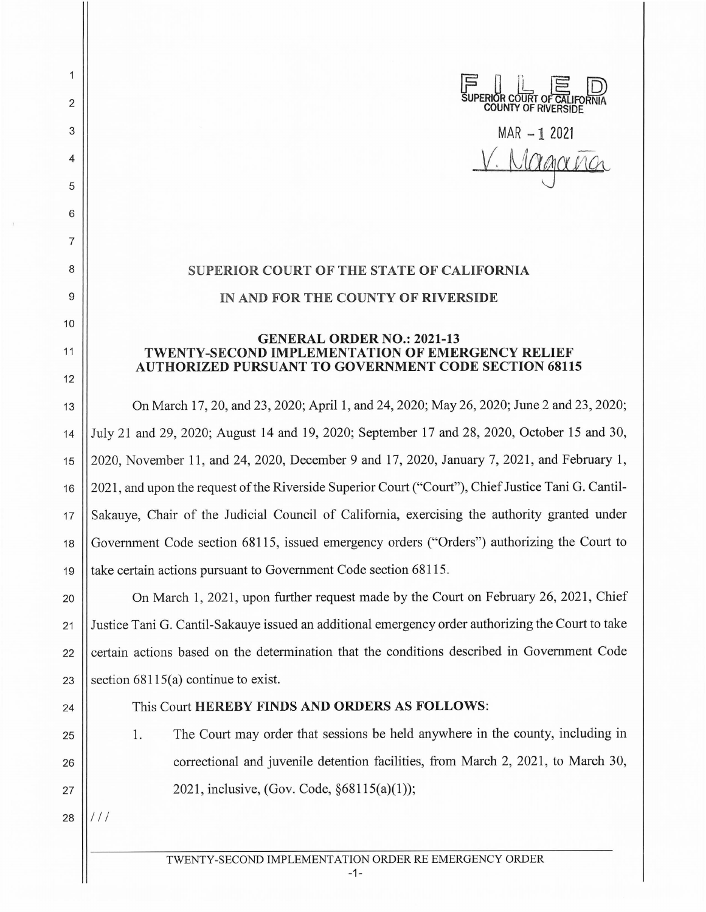

MAR **-1** 2021 *Lacard* 

## **SUPERIOR COURT OF THE STATE OF CALIFORNIA IN AND FOR THE COUNTY OF RIVERSIDE**

## **GENERAL ORDER NO.: 2021-13 TWENTY-SECOND IMPLEMENTATION OF EMERGENCY RELIEF AUTHORIZED PURSUANT TO GOVERNMENT CODE SECTION 68115**

13 On March 17, 20, and 23, 2020; April 1, and 24, 2020; May 26, 2020; June 2 and 23, 2020; 14 July 21 and 29, 2020; August 14 and 19, 2020; September 17 and 28, 2020, October 15 and 30, 15 2020, November 11 , and 24, 2020, December 9 and 17, 2020, January 7, 2021, and February 1, 16 2021 , and upon the request of the Riverside Superior Court ("Court"), Chief Justice Tani G. Cantil-17 || Sakauye, Chair of the Judicial Council of California, exercising the authority granted under 18 || Government Code section 68115, issued emergency orders ("Orders") authorizing the Court to 19 take certain actions pursuant to Government Code section 68115.

20 **On March 1, 2021, upon further request made by the Court on February 26, 2021, Chief** 21 Justice Tani G. Cantil-Sakauye issued an additional emergency order authorizing the Court to take 22 certain actions based on the determination that the conditions described in Government Code 23 Section  $68115(a)$  continue to exist.

2

1

3

4

5

6

7

8

9

10

11

12

## 24 This Court **HEREBY FINDS AND ORDERS AS FOLLOWS:**

25 1. The Court may order that sessions be held anywhere in the county, including in 26 **correctional and juvenile detention facilities, from March 2, 2021, to March 30,** 27  $\|$  2021, inclusive, (Gov. Code, §68115(a)(1));

 $28$   $\frac{1}{1}$